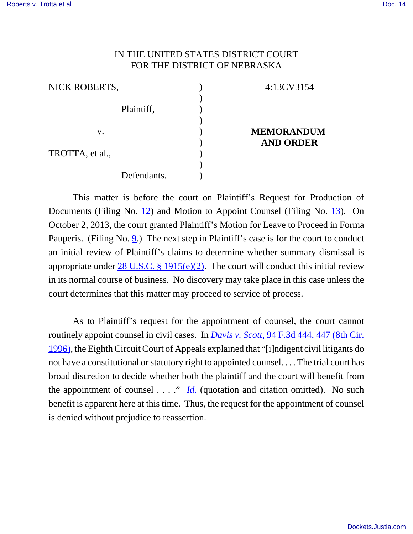## IN THE UNITED STATES DISTRICT COURT FOR THE DISTRICT OF NEBRASKA

| NICK ROBERTS,   |             |  |
|-----------------|-------------|--|
|                 |             |  |
|                 | Plaintiff,  |  |
|                 |             |  |
| V.              |             |  |
|                 |             |  |
| TROTTA, et al., |             |  |
|                 |             |  |
|                 | Defendants. |  |

## 4:13CV3154

## **MEMORANDUM AND ORDER**

This matter is before the court on Plaintiff's Request for Production of Documents (Filing No. 12) and Motion to Appoint Counsel (Filing No. 13). On October 2, 2013, the court granted Plaintiff's Motion for Leave to Proceed in Forma Pauperis. (Filing No. 9.) The next step in Plaintiff's case is for the court to conduct an initial review of Plaintiff's claims to determine whether summary dismissal is appropriate under  $28 \text{ U.S.C. }$  § 1915(e)(2). The court will conduct this initial review in its normal course of business. No discovery may take place in this case unless the court determines that this matter may proceed to service of process.

As to Plaintiff's request for the appointment of counsel, the court cannot routinely appoint counsel in civil cases. In *Davis v. Scott*, 94 F.3d 444, 447 (8th Cir. 1996), the Eighth Circuit Court of Appeals explained that "[i]ndigent civil litigants do not have a constitutional or statutory right to appointed counsel. . . . The trial court has broad discretion to decide whether both the plaintiff and the court will benefit from the appointment of counsel  $\ldots$ ." *Id.* (quotation and citation omitted). No such benefit is apparent here at this time. Thus, the request for the appointment of counsel is denied without prejudice to reassertion.